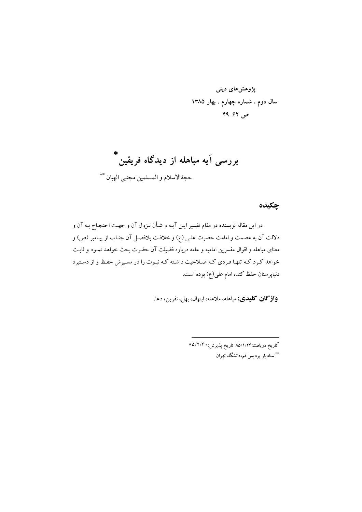## چکیده

در این مقاله نویسنده در مقام تفسیر ایـن آیـه و شـأن نـزول آن و جهـت احتجـاج بـه آن و دلالت آن به عصمت و امامت حضرت علمي (ع) و خلافت بلافصـل آن جنـاب از پيـامبر (ص) و معنای مباهله و اقوال مفسرین امامیه و عامه درباره فضیلت آن حضرت بحث خواهد نمـود و ثابـت خواهد کرد کـه تنهـا فـردي کـه صـلاحيت داشـته کـه نبـوت را در مسـيرش حفـظ و از دسـتبرد دنیاپرستان حفظ کند، امام علی(ع) بوده است.

**واژگان كليدي:** مباهله، ملاعنه، ابتهال، بهل، نفرين، دعا.

\*تاريخ دريافت:۸۵/۱/۲۴ تاريخ پذيرش: ۸۵/۲/۳۰ \*\*استاديار پرديس قم،دانشگاه تهران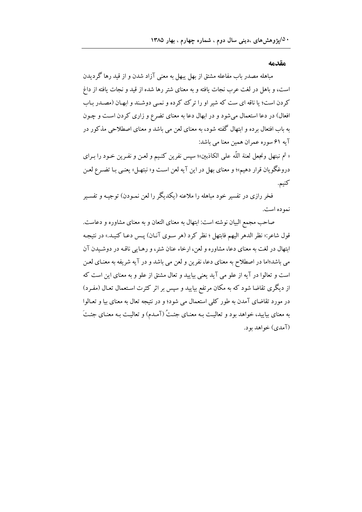## مقدمه

مباهله مصدر باب مفاعله مشتق از بهل يبهل به معنى آزاد شدن و از قيد رها گرديدن است، و باهل در لغت عرب نجات یافته و به معنای شتر رها شده از قید و نجات یافته از داغ کردن است؛ یا ناقه ای ست که شیر او را ترک کرده و نمبی دوشند و ابهان (مصدر بـاب افعال) در دعا استعمال میشود و در ابهال دعا به معنای تضرع و زاری کردن است و چـون به باب افتعال برده و ابتهال گفته شود، به معنای لعن می باشد و معنای اصطلاحی مذکور در آيه ۶۱ سوره عمران همين معنا مي باشد:

« ثم نبتهل ونجعل لعنة اللَّه على الكاذبين»؛ سيس نفرين كنـيـم و لعـن و نفـرين خـود را بـراي دروغگو يان قرار دهيم»؛ و معناي بهل در اين آيه لعن است و« نبتهـل» يعنـي بـا تضـرع لعـن كنيم.

فخر رازی در تفسیر خود مباهله را ملاعنه (یکدیگر را لعن نمـودن) توجیـه و تفسـیر نمو ده است.

صاحب مجمع البیان نوشته است: ابتهال به معنای التعان و به معنای مشاوره و دعاست. قول شاعر:« نظر الدهر اليهم فابتهل ؛ نظر كرد (هر سـوى آنـان) پـس دعـا كنيـد.» در نتيجـه ابتهال در لغت به معناي دعا، مشاوره و لعن، ارخاء عنان شتر، و رهـايي ناقـه در دوشـيدن آن می باشد؛اما در اصطلاح به معنای دعا، نفرین و لعن می باشد و در آیه شریفه به معنـای لعـن است و تعالوا در آیه از علو می آید یعنی بیایید و تعال مشتق از علو و به معنای این است که از دیگری تقاضا شود که به مکان مرتفع بیایید و سپس بر اثر کثرت استعمال تعـال (مفـرد) در مورد تقاضای آمدن به طور کلمی استعمال می شود؛ و در نتیجه تعال به معنای بیا و تعـالوا به معنای بیایید، خواهد بود و تعالیت بـه معنـای جئـتُ (آمـدم) و تعالیـت بـه معنـای جئـتَ (آمدي) خواهد بو د.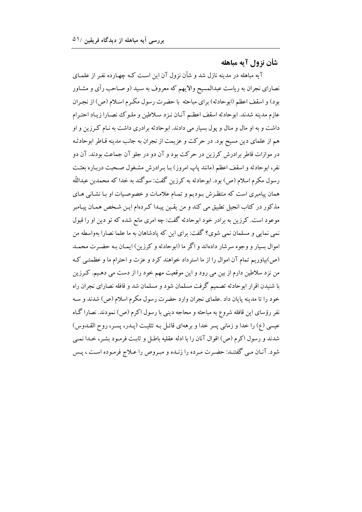## شأن نزول آيه مباهله

آیه مباهله در مدینه نازل شد و شأن نزول آن این است کـه چهـارده نفـر از علمـای نصارای نجران به ریاست عبدالمسیح والایهم که معروف به سـید (و صـاحب رأی و مشـاور بود) و اسقف اعظم (ابوحادثه) براي مباحثه با حضرت رسول مكـرم اسـلام (ص) از نجـران عازم مدينه شدند. ابوحادثه اسقف اعظم آنـان نـزد سـلاطين و ملـوك نصـارا زيـاد احتـرام داشت و به او مال و منال و پول بسیار می دادند. ابوحادثه برادری داشت به نـام کـرزین و او هم از علمای دین مسیح بود. در حرکت و عزیمت از نجران به جانب مدینه قـاطر ابوحادثـه در موازات قاطر برادرش کرزین در حرکت بود و آن دو در جلو آن جماعت بودند. آن دو نفر، ابوحادثه و اسقف اعظم (مانند ياپ امروز) بـا بـرادرش مشـغول صـحبت دربـاره بعثـت رسول مکرم اسلام (ص) بود. ابوحادثه به کرزین گفت: سوگند به خدا که محمدبن عبداللّه همان پیامبری است که منتظـرش بـودیم و تمـام علامـات و خصوصـیات او بـا نشـانی هـای مذکور در کتاب انجیل تطبیق می کند و من یقـین پیـدا کـردهام ایـن شـخص همـان پیـامبر موعود است. کرزین به برادر خود ابوحادثه گفت: چه امری مانع شده که تو دین او را قبول نمی نمایی و مسلمان نمی شوی؟ گفت: برای این که پادشاهان به ما علما نصارا بهواسطه من اموال بسيار و وجوه سرشار دادهاند و اگر ما (ابوحادثه و كرزين) ايمـان بـه حضـرت محمـد (ص)بیاوریم تمام آن اموال را از ما استرداد خواهند کرد و عزت و احترام ما و عظمتبی ک من نزد سلاطین دارم از بین می رود و این موقعیت مهم خود را از دست می دهـیم. کـرزین با شنیدن اقرار ابوحادثه تصمیم گرفت مسلمان شود و مسلمان شد و قافله نصارای نجران راه خود را تا مدينه يايان داد .علماي نجران وارد حضرت رسول مكرم اسلام (ص) شدند و سـه نفر رؤسای این قافله شروع به مباحثه و محاجه دینی با رسول اکرم (ص) نمودند. نصارا گـاه عیسی (ع) را خدا و زمانی پسر خدا و برههای قائـل بـه تثلیـت (پـدر، پسـر، روح القـدوس) شدند و رسول اکرم (ص) اقوال آنان را با ادله عقلیه باطـل و ثابـت فرمـود بشـر، خـدا نمـی شود. آنـان مـي گفتنـد: حضـرت مـرده را زنـده و مبـروص را عـلاج فرمـوده اسـت ، پـس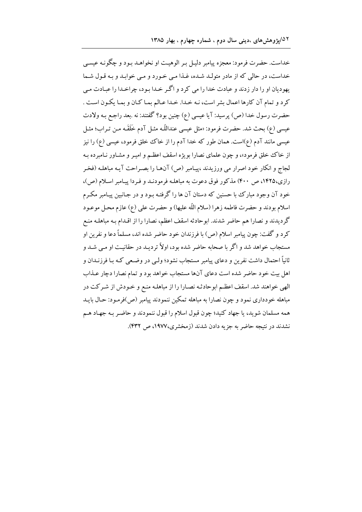خداست. حضرت فرمود: معجزه پیامبر دلیـل بـر الوهیـت او نخواهـد بـود و چگونـه عیسـی خداست، در حالي كه از مادر متولـد شـده، غـذا مـي خـورد و مـي خوابـد و بـه قـول شـما پهوديان او را دار زدند و عبادت خدا را مي كرد و اگـر خـدا بـود، چراخـدا را عبـادت مـي كرد و تمام آن كارها اعمال بشر است، نـه خـدا. خـدا عـالم بمـا كـان و بمـا يكـون اسـت . حضرت رسول خدا (ص) پرسید: آیا عیسی (ع) چنین بود؟ گفتند: نه .بعد راجـع بـه ولادت عيسى (ع) بحث شد. حضرت فرمود: «مثل عيسى عنداللّه مثـل آدم خَلَقَـه مـن تـراب؛ مثـل عیسی مانند آدم (ع)است. همان طور که خدا آدم را از خاک خخلق فرمود، عیسی (ع) را نیز از خاک خلق فرمود»، و چون علمای نصارا بویژه اسقف اعظـم و امیـر و مشـاور نـامبرده بـه لجاج و انکار خود اصرار می ورزیدند ،پیامبر (ص) آنهـا را بصـراحت آیـه مباهلـه (فخـر رازي،۱۴۲۵، ص ۴۰۰) مذكور فوق دعوت به مباهلـه فرمودنـد و فـردا پيـامبر اسـلام (ص)، خود آن وجود مبارک با حسنین که دستان آن ها را گرفتـه بـود و در جـانبین پیـامبر مکـرم اسلام بودند و حضرت فاطمه زهرا (سلام اللّه عليها) و حضرت علي (ع) عازم محل موعـود گردیدند و نصارا هم حاضر شدند. ابوحادثه اسقف اعظم، نصارا را از اقـدام بـه مباهلـه منـع کرد و گفت: چون پیامبر اسلام (ص) با فرزندان خود حاضر شده اند، مسلماً دعا و نفرین او مستجاب خواهد شد و اگر با صحابه حاضر شده بود، اولاً تردیـد در حقانیـت او مـی شـد و ثانياً احتمال داشت نفرين و دعاي پيامبر مستجاب نشود؛ ولـي در وضـعي كـه بـا فرزنــدان و اهل بیت خود حاضر شده است دعای آنها مستجاب خواهد بود و تمام نصارا دجار عـذاب الهي خواهند شد. اسقف اعظـم ابوحادثـه نصـارا را از مباهلـه منـع و خـودش از شـركت در مباهله خودداري نمود و چون نصارا به مباهله تمکين ننمودند پيامبر (ص)فرمـود: حـال بايـد همه مسلمان شويد، يا جهاد كنيد؛ چون قبول اسلام را قبول ننمودند و حاضـر بـه جهـاد هـم نشدند در نتیجه حاضر به جزیه دادن شدند (زمخشری،۱۹۷۷، ص ۴۳۲).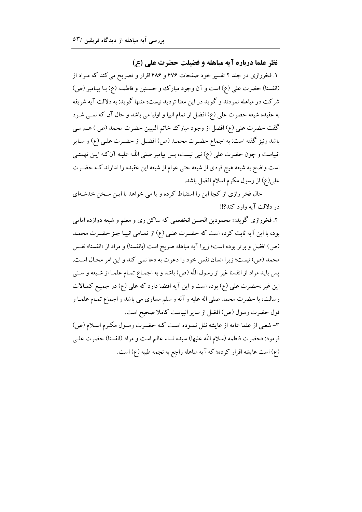نظر علما درباره آیه مباهله و فضیلت حضرت علی (ع) ۱. فخررازی در جلد ۲ تفسیر خود صفحات ۴۷۶ و ۴۸۶ اقرار و تصریح می کند که مـراد از (انفسنا) حضرت علي (ع) است و آن وجود مبارك وحسنين و فاطمـه (ع) بـا پيـامبر (ص) شرکت در مباهله نمودند و گوید در این معنا تردید نیست؛ منتها گوید: به دلالت آیه شریفه به عقیده شیعه حضرت علمی (ع) افضل از تمام انبیا و اولیا می باشد و حال آن که نمــی شــود گفت حضرت على (ع) افضل از وجود مبارك خاتم النبيين حضرت محمد (ص ) هـم مـي باشد ونيز گفته است: به اجماع حضـرت محمـد (ص) افضـل از حضـرت علـي (ع) و سـاير انبیاست و چون حضرت علی (ع) نبی نیست، پس پیامبر صلی اللّه علیـه آن کـه ایـن تهمتـی است واضح به شیعه هیچ فردی از شیعه حتی عوام از شیعه این عقیده را ندارند کـه حضـرت علی(ع) از رسول مکرم اسلام افضل باشد.

حال فخر رازی از کجا این را استنباط کرده و یا می خواهد با ایـن سـخن خدشـهای در دلالت آيه وارد كند؟!!

۲. فخررازی گوید:« محمودبن الحسن انخفعمی که ساکن ری و معلم و شیعه دوازده امامی بود، با این آیه ثابت کرده است که حضـرت علـی (ع) از تمـامی انبیـا جـز حضـرت محمـد (ص) افضل و برتر بوده است؛ زیرا آیه مباهله صریح است (بانفسنا) و مراد از «انفسنا» نفس محمد (ص) نيست؛ زيرا انسان نفس خود را دعوت به دعا نمي كند و اين امر محـال اسـت. پس بايد مراد از انفسنا غير از رسول اللّه (ص) باشد و به اجمـاع تمـام علمـا از شـيعه و سـني این غیر ،حضرت علمی (ع) بوده است و این آیه اقتضا دارد که علمی (ع) در جمیع کمالات رسالت، با حضرت محمد صلى اله عليه و آله و سلم مساوى مى باشد و اجماع تمـام علمـا و قول حضرت رسول (ص) افضل از سایر انبیاست کاملا صحیح است. ۳- شعبی از علما عامه از عایشه نقل نمـوده اسـت کـه حضـرت رسـول مکـرم اسـلام (ص) فرمود: «حضرت فاطمه (سلام اللَّه عليها) سيده نساء عالم است و مراد (انفسنا) حضرت علـي (ع) است عايشه اقرار كرده؛ كه آيه مباهله راجع به نجمه طيبه (ع) است.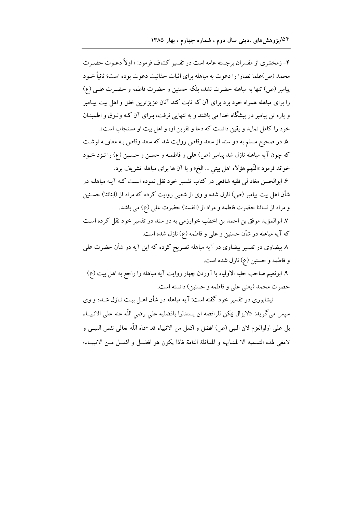۴- زمخشری از مفسران برجسته عامه است در تفسیر کشاف فرمود: « اولاً دعـوت حضـرت محمد (ص)علما نصارا را دعوت به مباهله براي اثبات حقانيت دعوت بوده است؛ ثانياً خـود پیامبر (ص) تنها به مباهله حضرت نشد، بلکه حسنین و حضرت فاطمه و حضـرت علـی (ع) را برای مباهله همراه خود برد برای آن که ثابت کند آنان عزیزترین خلق و اهل بیت پیـامبر و پاره تن پیامبر در پیشگاه خدا می باشند و به تنهایی نرفت، بـرای آن کـه وثـوق و اطمینـان خود را كامل نمايد و يقين دانست كه دعا و نفرين او، و اهل بيت او مستجاب است». ۵. در صحیح مسلم به دو سند از سعد وقاص روایت شد که سعد وقاص بـه معاویـه نوشـت كه چون آيه مباهله نازل شد پيامبر (ص) على و فاطمـه و حسـن و حسـين (ع) را نـزد خـود خواند فرمود »اللّهم هؤلاء اهل بيتي … الخ« و با آن ها براي مباهله تشريف برد. ۶. ابوالحسن مغاذ لمی فقیه شافعی در کتاب تفسیر خود نقل نموده است کـه آیـه مباهلـه در شأن اهل بیت پیامبر (ص) نازل شده و وی از شعبی روایت کرده که مراد از (ابنائنا) حسـنین و مراد از نسائنا حضرت فاطمه و مراد از (انفسنا) حضرت على (ع) مي باشد. ٧. ابوالمؤيد موفق بن احمد بن اخطب خوارزمي به دو سند در تفسير خود نقل كرده است كه آيه مباهله در شأن حسنين و علمي و فاطمه (ع) نازل شده است. ۸ بیضاوی در تفسیر بیضاوی در آیه مباهله تصریح کرده که این آیه در شأن حضرت علی و فاطمه و حسنین (ع) نازل شده است.

۹. ابونعیم صاحب حلیه الاولیاء با آوردن چهار روایت آیه مباهله را راجع به اهل بیت (ع) حضرت محمد (يعني على و فاطمه و حسنين) دانسته است.

نیشابوری در تفسیر خود گفته است: آیه مباهله در شأن اهـل بیـت نـازل شــده و وی سپس مي گويد: «لايزال يمكن للرافضه ان يستدلوا بافضليه على رضي اللّه عنه على الانبيــاء بل على اولوالعزم لان النبي (ص) افضل و اكمل من الانبياء قد سماه اللّه تعالى نفس النبــي و لامغي لهذه التسميه الا لمشابهه و المماثلة التامة فاذا يكون هو افضـل و اكمـل مـن الانبيــاء؛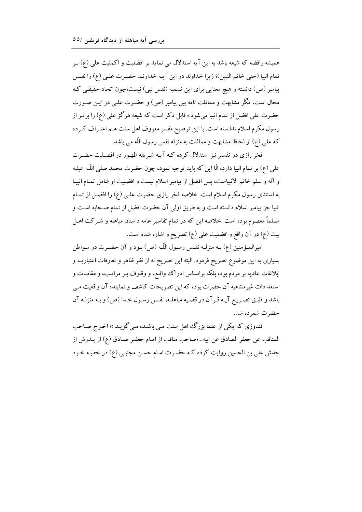همیشه رافضه که شیعه باشد به این آیه استدلال می نماید بر افضلیت و اکملیت علمی (ع) بـر تمام انبيا (حتى خاتم النبين)؛ زيرا خداوند در اين آيـه خداونـد حضـرت علـي (ع) را نفـس پیامبر (ص) دانسته و هیچ معنایی برای این تسمیه (نفس نبی) نیست؛چون اتحاد حقیقی کـه محال است، مگر مشابهت و مماثلت تامه بین پیامبر (ص) و حضـرت علـی در ایـن صـورت حضرت علي افضل از تمام انبيا مي شود.» قابل ذكر است كه شيعه هرگز علي (ع) را برتـر از رسول مکرم اسلام ندانسته است. با این توضیح مفسر معروف اهل سنت هـم اعتـراف کـرده كه على (ع) از لحاظ مشابهت و مماثلت به منزله نفس رسول اللّه مي باشد.

فخر رازی در تفسیر نیز استدلال کرده کـه آیـه شـریفه ظهـور در افضـلیت حضـرت علي (ع) بر تمام انبيا دارد، الَّا اين كه بايد توجيه نمود، چون حضرت محمد صلى اللَّـه عيلـه و آله و سلم خاتم الانبیاست، پس افضل از پیامبر اسلام نیست و افضلیت او شامل تمـام انبیـا به استثنای رسول مکرم اسلام است. خلاصه فخر رازی حضرت علـی (ع) را افضـل از تمـام انبيا جز پيامبر اسلام دانسته است و به طريق اولي آن حضرت افضل از تمام صـحابه اسـت و مسلماً معصوم بوده است .خلاصه این که در تمام تفاسیر عامه داستان مباهله و شـرکت اهـل بيت (ع) در آن واقع و افضليت على (ع) تصريح و اشاره شده است.

امیرالمـؤمنین (ع) بـه منزلـه نفـس رسـول اللّـه (ص) بـود و آن حضـرت در مـواطن بسیاری به این موضوع تصریح فرمود. البته این تصریح نه از نظر ظاهر و تعارفات اعتباریـه و ابلاغات عادیه بر مردم بود، بلکه براساس ادراک واقع، و وقـوف بـر مراتـب، و مقامـات و استعدادات غیر متناهیه آن حضرت بود، که این تصریحات کاشف و نماینده آن واقعیت مبی باشد و طبـق تصـريح آيـه قـرآن در قضـيه مباهلـه، نفـس رسـول خـدا (ص) و بـه منزلـه آن حضرت شمرده شد.

قندوزي كه يكي از علما بزرگ اهل سنت مي باشـد، مـي گويـد :« اخـرج صـاحب المناقب عن جعفر الصادق عن ابيه...؛صاحب مناقب از امـام جعفـر صـادق (ع) از يــدرش از جدش علی بن الحسین روایت کرده کـه حضـرت امـام حسـن مجتبـی (ع) در خطبـه خـود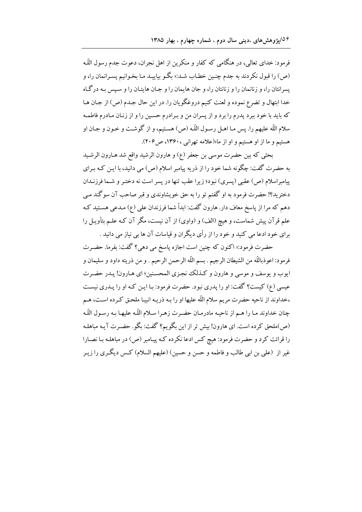فرمود: خدای تعالی، در هنگامی که کفار و منکرین از اهل نجران، دعوت جدم رسول اللّه (ص) را قبول نكردند به جدم چنـين خطـاب شـد:« بگـو بياييـد مـا بخـوانيم پسـرانمان را، و یسرانتان را، و زنانمان را و زنانتان را، و جان هایمان را و جـان هایتـان را و سـیس بـه درگـاه خدا ابتهال و تضرع نموده و لعنت كنيم دروغگويان را. در اين حال جـدم (ص) از جـان هـا که باید با خود ببرد پدرم را برد و از پسران من و بـرادرم حسـین را و از زنـان مـادرم فاطمـه سلام اللّه عليهم را. يس مـا اهـل رسـول اللّه (ص) هسـتيم، و از گوشـت و خـون و جـان او هستیم و ما از او هستیم و او از ما»(علامه تهرانی ، ۱۳۶۰، ص۲۰۶).

بحثی که بین حضرت موسی بن جعفر (ع) و هارون الرشید واقع شد هـارون الرشـید به حضرت گفت: چگونه شما خود را از ذریه پیامبر اسلام (ص) می دانید، با ایـن کـه بـرای پیامبراسلام (ص) عقبی (پسری) نبود؛ زیرا عقب تنها در پسر است نه دختـر و شـما فرزنـدان دخترید؟! حضرت فرمود به او گفتم تو را به حق خویشاوندی و قبر صاحب آن سوگند مـی دهم که مرا از پاسخ معاف دار. هارون گفت: ابداً شما فرزندان علی (ع) مـدعی هسـتید کـه علم قرآن پیش شماست، و هیچ (الف) و (واوی) از آن نیست، مگر آن کـه علـم بتأویـل را برای خود ادعا می کنید و خود را از رأی دیگران و قیاسات آن ها بی نیاز می دانید .

حضرت فرمود:« اکنون که چنین است اجازه پاسخ می دهی؟ گفت: بفرما. حضـرت فرمود: اعوذباللَّه من الشيطان الرجيم . بسم اللَّه الرحمن الرحيم . و من ذريته داود و سليمان و ايوب و يوسف و موسى و هارون و كـذلك نجـزي المحسـنين؛ اي هـارون! يـدر حضـرت عیسی (ع) کیست؟ گفت: او را پدری نبود. حضرت فرمود: بـا ایـن کـه او را پـدری نیسـت ،خداوند از ناحیه حضرت مریم سلام اللّه علیها او را بـه ذریـه انبیـا ملحـق کـرده اسـت، هـم چنان خداوند مـا را هـم از ناحيـه مادرمـان حضـرت زهـرا سـلام اللّـه عليهـا بـه رسـول اللّـه (ص)ملحق کرده است. ای هارون! بیش تر از این بگو یم؟ گفت: بگو. حضـرت آیـه مباهلـه را قرائت کرد و حضرت فرمود: هیچ کس ادعا نکرده کـه پیـامبر (ص) در مباهلـه بـا نصـارا غیر از (علی بن ابی طالب و فاطمه و حسن و حسین) (علیهم السلام) کـس دیگـری را زیـر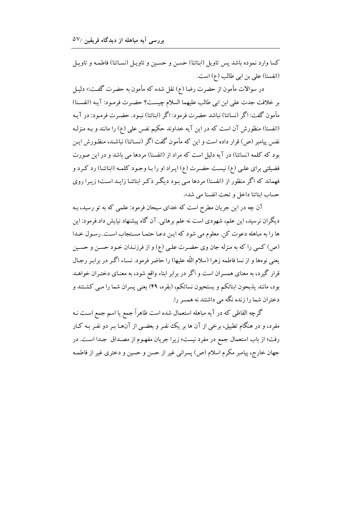كسا وارد نموده باشد يس تاويل (ابنائنا) حسـن و حسـين و تاويـل (نســائنا) فاطمـه و تاويـل (انفسنا) على بن ابي طالب (ع) است.

در سوالات مأمون از حضرت رضا (ع) نقل شده که مأمون به حضرت گفت:« دلیـل بر خلافت جدت على ابن ابي طالب عليهما السلام چيست؟ حضـرت فرمـود: آيـه (انفسـنا) مأمون گفت: اگر (نسائنا) نباشد حضرت فرمود: اگر (ابنائنا) نبـود. حضـرت فرمـود: در آیـه (انفسنا) منظورش آن است که در این آیه خداوند حکیم نفس علی (ع) را مانند و بـه منزلـه نفس پیامبر (ص) قرار داده است و این که مأمون گفت اگر (نسـائنا) نباشـد، منظـورش ایـن بود که کلمه (نسائنا) در آیه دلیل است که مراد از (انفسنا) مردها می باشد و در این صورت فضیلتی برای علبی (ع) نیست حضرت (ع) ایـراد او را بـا وجـود کلمـه (ابنائنـا) رد کـرد و فهماند که اگر منظور از (انفسنا) مردها مبی بـود دیگـر ذکـر ابنائنـا زایـد اسـت؛ زیـرا روی حساب ابنائنا داخل وتحت انفسنا مي شد».

آن چه در این جریان مطرح است که خدای سبحان فرمود: علمی که به تو رسید، بـه دیگران نرسید، این علم، شهودی است نه علم برهانی. آن گاه پیشنهاد نیایش داد.فرمود: این ها را به مباهله دعوت كن. معلوم مي شود كه اين دعـا حتمـا مسـتجاب اسـت. رسـول خـدا (ص) كسى را كه به منزله جان وى حضـرت علـى (ع) و از فرزنـدان خـود حسـن و حسـين يعني نوهها و از نسا فاطمه زهرا (سلام اللّه عليها) را حاضر فرمود. نسـاء اگـر در برابـر رجـال قرار گیرد، به معنای همسران است و اگر در برابر ابناء واقع شود، به معنـای دختـران خواهــد بود، مانند پذبحون ابنائکم و يستحيون نسائکم، (بقره، ۴۹) يعني پسران شما را مـي کشـتند و دختران شما را زنده نگه می داشتند نه همسر را.

گرچه الفاظی که در آیه مباهله استعمال شده است ظاهراً جمع یا اسم جمع اسـت نـه مفرد، و در هنگام تطبیق، برخی از آن ها بر یک نفـر و بعضـی از آن@ا بـر دو نفـر بـه کـار رفت؛ از باب استعمال جمع در مفرد نیست؛ زیرا جریان مفهـوم از مصـداق جـدا اسـت. در جهان خارج، پیامبر مکرم اسلام (ص) پسرانی غیر از حسن و حسین و دختری غیر از فاطمـه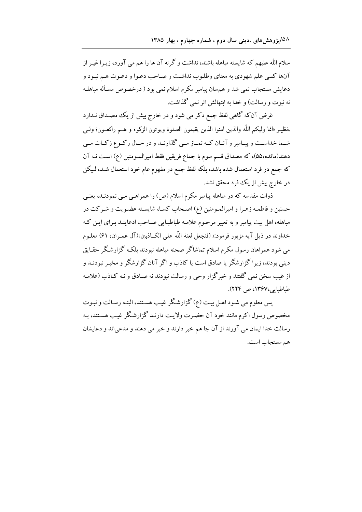سلام اللّه علیهم که شایسته مباهله باشند، نداشت و گرنه آن ها را هم می آورد، زیـرا غیـر از آنها کسی علم شهودی به معنای وطلـوب نداشـت و صـاحب دعـوا و دعـوت هـم نبـود و دعایش مستجاب نمی شد و هم سان پیامبر مکرم اسلام نمی بود ( درخصوص مسأله مباهلـه نه نبوت و رسالت) و خدا به ابتهالش اثر نمي گذاشت.

غرض آن که گاهی لفظ جمع ذکر می شود و در خارج بیش از یک مصـداق نـدارد ،نظيـر «انما وليكم اللَّه والذين امنوا الذين يقيمون الصلوة ويوتون الزكوة و هــم راكعــون؛ ولــي شـما خداسـت و پيـامبر و آنــان كــه نمــاز مــي گذارنــد و در حــال ركــوع زكــات مــي دهند(مائده،۵۵)، که مصداق قسم سوم با جماع فریقین فقط امیرالمـومنین (ع) اسـت نـه آن که جمع در فرد استعمال شده باشد، بلکه لفظ جمع در مفهوم عام خود استعمال شـد، لـیکن در خارج بیش از یک فرد محقق نشد.

ذوات مقدسه که در مباهله پیامبر مکرم اسلام (ص) را همراهـی مـی نمودنـد، یعنـی حسنین و فاطمـه زهـرا و امیرالمـومنین (ع) اصـحاب کسـا، شایسـته عضـویت و شـرکت در مباهله، اهل بیت پیامبر و به تعبیر مرحوم علامـه طباطبـایی صـاحب ادعاینـد بـرای ایـن کـه خداوند در ذيل آيه مزبور فرمود:« (فنجعل لعنة اللّه على الكــاذبين»(آل عمـران، 61) معلـوم می شود همراهان رسول مکرم اسلام تماشاگر صحنه مباهله نبودند بلکه گزارشگر حقـایق دینی بودند، زیرا گزارشگر یا صادق است یا کاذب و اگر آنان گزارشگر و مخبر نبودنـد و از غیب سخن نمی گفتند و خبرگزار وحی و رسالت نبودند نه صـادق و نـه کـاذب (علامـه طباطبايي،١٣۶٧، ص ٢٢٤).

يس معلوم مي شـود اهـل بيـت (ع) گزارشـگر غيـب هسـتند، البتـه رسـالت و نبـوت مخصوص رسول اکرم مانند خود آن حضـرت ولایـت دارنـد گزارشـگر غیـب هسـتند، بـه رسالت خدا ايمان مي آورند از آن جا هم خبر دارند و خبر مي دهند و مدعي اند و دعايشان هم مستجاب است.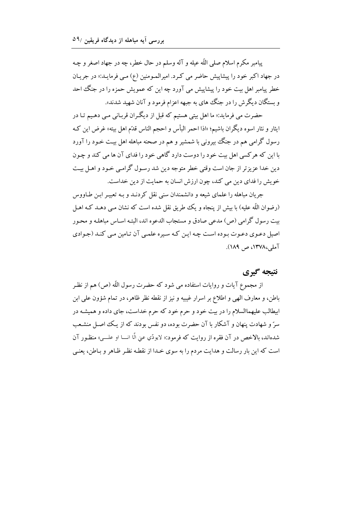پيامبر مكرم اسلام صلى اللَّه عيله و آله وسلم در حال خطر، چه در جهاد اصغر و چـه در جهاد اکبر خود را پیشاپیش حاضر می کرد. امیرالمـومنین (ع) مـی فرمایـد:« در جریـان خطر پیامبر اهل بیت خود را پیشاپیش می آورد چه این که عمویش حمزه را در جنگ احد و بستگان دیگرش را در جنگ های به جبهه اعزام فرمود و آنان شهید شدند».

حضرت مي فرمايد:« ما اهل بيتي هستيم كه قبل از ديگران قربـاني مـي دهـيم تـا در ايثار و نثار اسوه ديگران باشيم؛ «اذا احمر البأس و احجم الناس قدّم اهل بيته» غرض اين كـه رسول گرامی هم در جنگ بیرونی با شمشیر و هم در صحنه مباهله اهل بیت خـود را آورد با این که هر کسی اهل بیت خود را دوست دارد گاهی خود را فدای آن ها می کند و چـون دین خدا عزیزتر از جان است وقتی خطر متوجه دین شد رسـول گرامـی خـود و اهـل بیـت خويش را فداي دين مي كند، چون ارزش انسان به حمايت از دين خداست.

جریان مباهله را علمای شیعه و دانشمندان سنی نقل کردنـد و بـه تعبیـر ابـن طـاووس (رضوان اللّه عليه) با بيش از پنجاه و يك طريق نقل شده است كه نشان مـي دهـد كـه اهـل ست رسول گرامی (ص) مدعی صادق و مستجاب الدعوه اند، البته اسـاس مباهلـه و محـور اصیل دعوی دعـوت بـوده اسـت چـه ایـن کـه سـیره علمـی آن تـامین مـی کنـد (جـوادی آملی،۱۳۷۸، ص ۱۸۹).

## نتىجە گېرى

از مجموع آیات و روایات استفاده می شود که حضرت رسول اللّه (ص) هم از نظـر باطن، و معارف الهي و اطلاع بر اسرار غيبيه و نيز از نقطه نظر ظاهر، در تمام شؤون على ابن ابیطالب علیهماالسلام را در بیت خود و حرم خود که حرم خداست، جای داده و همیشـه در سرّ و شهادت پنهان و آشکار با آن حضرت بوده، دو نفس بودند که از یک اصل منشـعب شدهاند، بالاخص در آن فقره از روايت كه فرمود:« لايودّي عني الَّا انـــا او علـــي» منظـور آن است که این بار رسالت و هدایت مردم را به سوی خـدا از نقطـه نظـر ظـاهر و بـاطن، یعنـی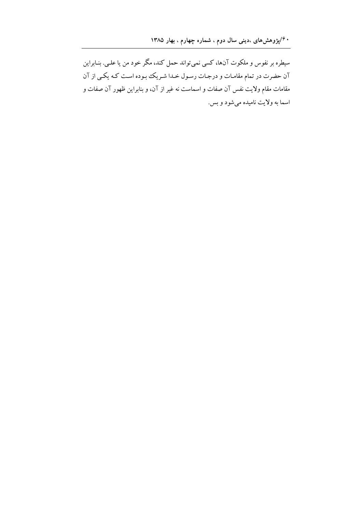سیطره بر نفوس و ملکوت آنها، کسی نمیتواند حمل کند، مگر خود من یا علـی. بنـابراین آن حضرت در تمام مقامـات و درجـات رسـول خـدا شـريك بـوده اسـت كـه يكـي از آن مقامات مقام ولایت نفس آن صفات و اسماست نه غیر از آن، و بنابراین ظهور آن صفات و اسما به ولايت ناميده مي شود و بس.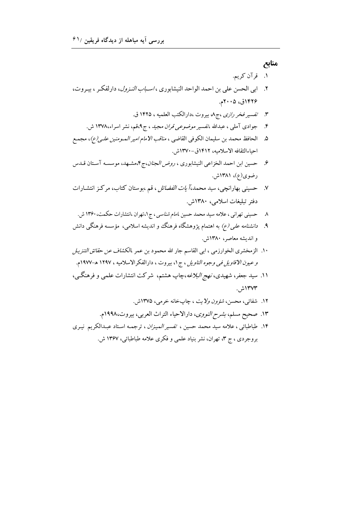منابع

- ١. قرآن كريم.
- ۲. ابي الحسن علي بن احمد الواحد النيشابوري ، *اسباب النـزول*، دارلفكـر ، بيـروت، ۱۴۲۶ق، ۲۰۰۵م.
	- تفسير فخر ر*ازي ،ج٨* بيروت ،دارالكتب العلميه ، ١۴٢٥ ق.  $\mathcal{N}$
	- جوادی آملی ، عبدالله ،تفسیر *موضوعی قران مجید* ، ج۹،قم، نشر اسراء،۱۳۷۸ ش.  $\cdot$
- ۵. الحافظ محمد بن سليمان الكوفي القاضي ، *مناقب الامام امير المـومنين علـي(ع)*، مجمـع احباءالثقافه الاسلاميه، ١۴١٢ق-١٣٧٠ش.
- ۶. حسين ابن احمد الخزاعي النيشابوري ، *روض الجنان*،ج۴،مشـهد، موسسـه آسـتان قــدس رضوی(ع)، ۱۳۸۱ش.
- ۷. حسینی بهارانچی، سید محمد،*آیات الفضائل* ، قم ،بوستان کتاب، مرکز انتشـارات دفتر تبليغات اسلامي، ١٣٨٠ش.
	- ۸ ـ حسینی تهرانی ، علامه سید محمد حسین ،*امام شناسی* ، ج۱،تهران ،انتشارات حکمت، ۱۳۶۰ ش.
- ۹. *دانشنامه علی (ع)* به اهتمام پژوهشگاه فرهنگ و اندیشه اسلامی، مؤسسه فرهنگی دانش و اندیشه معاصر، ۱۳۸۰ش.
- ۱۰. الزمخشرى الخوارزمى ، ابى القاسم جار الله محمود بن عمر *،الكشاف عن حقائق التنزيـل* و *عيون الاقاويل في وجوه التاويل* ، ج ١، بيروت ، دارالفكرالاسلاميه ، ١٢٩٧ هـ-١٩٧٧م.
- ۱۱. سید جعفر، شهیدی، *نهج البلاغه*،چاپ هشتم، شرکت انتشارات علمی و فرهنگ<sub>م</sub>، ۱۳۷۳ش.
	- ۱۲. شفائ<sub>ی</sub>، محسن، *شؤون ولایت* ، چاپخانه خرمی، ۱۳۷۵ش.
	- ۱۳. صحیح مسلم، *بشرح النووی*، دارالاحیاء التراث العربی، بیروت،۱۹۹۸م.
- ۱۴. طباطبائی ، علامه سید محمد حسین ، ت*فسیر المیـزان* ، ترجمـه اسـتاد عبـدالکریم نیـری بروجردی ، ج ۳، تهران، نشر بنیاد علمی و فکری علامه طباطبائی، ۱۳۶۷ ش.